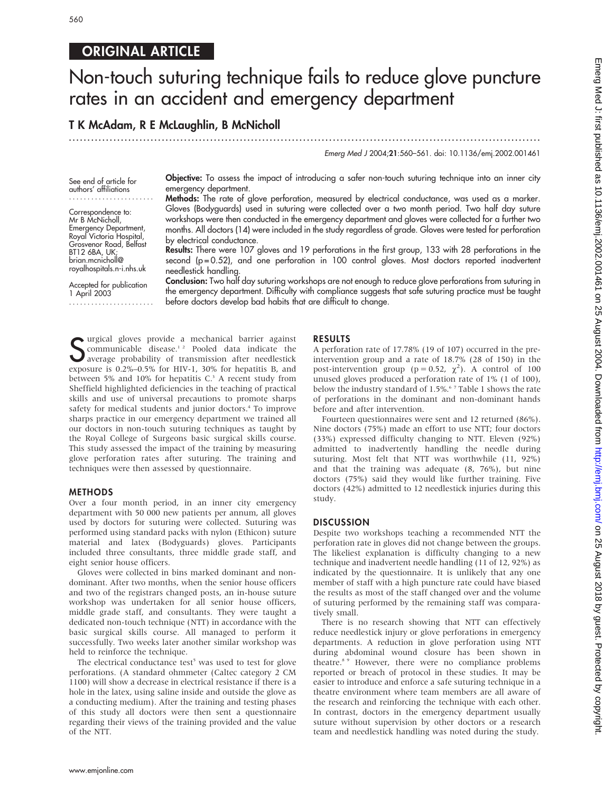# ORIGINAL ARTICLE

# Non-touch suturing technique fails to reduce glove puncture rates in an accident and emergency department

T K McAdam, R E McLaughlin, B McNicholl

...............................................................................................................................

Emerg Med J 2004;21:560–561. doi: 10.1136/emj.2002.001461

See end of article for authors' affiliations .......................

Correspondence to: Mr B McNicholl, Emergency Department, Royal Victoria Hospital, Grosvenor Road, Belfast BT12 6BA, UK; brian.mcnicholl@ royalhospitals.n-i.nhs.uk

Accepted for publication 1 April 2003 ....................... Objective: To assess the impact of introducing a safer non-touch suturing technique into an inner city emergency department.

Methods: The rate of glove perforation, measured by electrical conductance, was used as a marker. Gloves (Bodyguards) used in suturing were collected over a two month period. Two half day suture workshops were then conducted in the emergency department and gloves were collected for a further two months. All doctors (14) were included in the study regardless of grade. Gloves were tested for perforation by electrical conductance.

Results: There were 107 gloves and 19 perforations in the first group, 133 with 28 perforations in the second ( $p = 0.52$ ), and one perforation in 100 control gloves. Most doctors reported inadvertent needlestick handling.

Conclusion: Two half day suturing workshops are not enough to reduce glove perforations from suturing in the emergency department. Difficulty with compliance suggests that safe suturing practice must be taught before doctors develop bad habits that are difficult to change.

Gurgical gloves provide a mechanical barrier against<br>
Sommunicable disease.<sup>12</sup> Pooled data indicate the<br>
average probability of transmission after needlestick<br>
average probability of transmission after needlestick<br>
avera communicable disease.<sup>12</sup> Pooled data indicate the average probability of transmission after needlestick exposure is 0.2%–0.5% for HIV-1, 30% for hepatitis B, and between 5% and 10% for hepatitis C.<sup>3</sup> A recent study from Sheffield highlighted deficiencies in the teaching of practical skills and use of universal precautions to promote sharps safety for medical students and junior doctors.<sup>4</sup> To improve sharps practice in our emergency department we trained all our doctors in non-touch suturing techniques as taught by the Royal College of Surgeons basic surgical skills course. This study assessed the impact of the training by measuring glove perforation rates after suturing. The training and techniques were then assessed by questionnaire.

# METHODS

Over a four month period, in an inner city emergency department with 50 000 new patients per annum, all gloves used by doctors for suturing were collected. Suturing was performed using standard packs with nylon (Ethicon) suture material and latex (Bodyguards) gloves. Participants included three consultants, three middle grade staff, and eight senior house officers.

Gloves were collected in bins marked dominant and nondominant. After two months, when the senior house officers and two of the registrars changed posts, an in-house suture workshop was undertaken for all senior house officers, middle grade staff, and consultants. They were taught a dedicated non-touch technique (NTT) in accordance with the basic surgical skills course. All managed to perform it successfully. Two weeks later another similar workshop was held to reinforce the technique.

The electrical conductance test<sup>5</sup> was used to test for glove perforations. (A standard ohmmeter (Caltec category 2 CM 1100) will show a decrease in electrical resistance if there is a hole in the latex, using saline inside and outside the glove as a conducting medium). After the training and testing phases of this study all doctors were then sent a questionnaire regarding their views of the training provided and the value of the NTT.

# RESULTS

A perforation rate of 17.78% (19 of 107) occurred in the preintervention group and a rate of 18.7% (28 of 150) in the post-intervention group ( $p = 0.52$ ,  $\chi^2$ ). A control of 100 unused gloves produced a perforation rate of 1% (1 of 100), below the industry standard of 1.5%.<sup>67</sup> Table 1 shows the rate of perforations in the dominant and non-dominant hands before and after intervention.

Fourteen questionnaires were sent and 12 returned (86%). Nine doctors (75%) made an effort to use NTT; four doctors (33%) expressed difficulty changing to NTT. Eleven (92%) admitted to inadvertently handling the needle during suturing. Most felt that NTT was worthwhile (11, 92%) and that the training was adequate (8, 76%), but nine doctors (75%) said they would like further training. Five doctors (42%) admitted to 12 needlestick injuries during this study.

## **DISCUSSION**

Despite two workshops teaching a recommended NTT the perforation rate in gloves did not change between the groups. The likeliest explanation is difficulty changing to a new technique and inadvertent needle handling (11 of 12, 92%) as indicated by the questionnaire. It is unlikely that any one member of staff with a high puncture rate could have biased the results as most of the staff changed over and the volume of suturing performed by the remaining staff was comparatively small.

There is no research showing that NTT can effectively reduce needlestick injury or glove perforations in emergency departments. A reduction in glove perforation using NTT during abdominal wound closure has been shown in theatre.8 9 However, there were no compliance problems reported or breach of protocol in these studies. It may be easier to introduce and enforce a safe suturing technique in a theatre environment where team members are all aware of the research and reinforcing the technique with each other. In contrast, doctors in the emergency department usually suture without supervision by other doctors or a research team and needlestick handling was noted during the study.